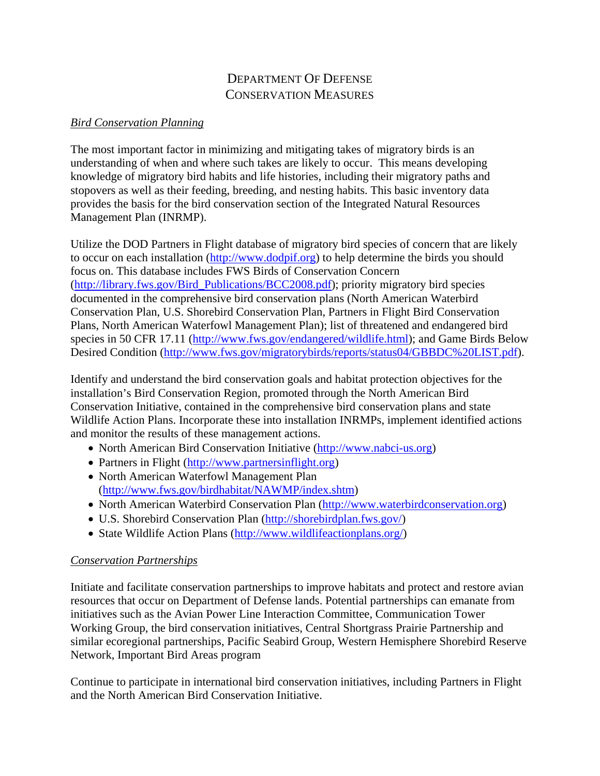# DEPARTMENT OF DEFENSE CONSERVATION MEASURES

#### *Bird Conservation Planning*

The most important factor in minimizing and mitigating takes of migratory birds is an understanding of when and where such takes are likely to occur. This means developing knowledge of migratory bird habits and life histories, including their migratory paths and stopovers as well as their feeding, breeding, and nesting habits. This basic inventory data provides the basis for the bird conservation section of the Integrated Natural Resources Management Plan (INRMP).

Utilize the DOD Partners in Flight database of migratory bird species of concern that are likely to occur on each installation (http://www.dodpif.org) to help determine the birds you should focus on. This database includes FWS Birds of Conservation Concern (http://library.fws.gov/Bird\_Publications/BCC2008.pdf); priority migratory bird species documented in the comprehensive bird conservation plans (North American Waterbird Conservation Plan, U.S. Shorebird Conservation Plan, Partners in Flight Bird Conservation Plans, North American Waterfowl Management Plan); list of threatened and endangered bird species in 50 CFR 17.11 (http://www.fws.gov/endangered/wildlife.html); and Game Birds Below Desired Condition (http://www.fws.gov/migratorybirds/reports/status04/GBBDC%20LIST.pdf).

Identify and understand the bird conservation goals and habitat protection objectives for the installation's Bird Conservation Region, promoted through the North American Bird Conservation Initiative, contained in the comprehensive bird conservation plans and state Wildlife Action Plans. Incorporate these into installation INRMPs, implement identified actions and monitor the results of these management actions.

- North American Bird Conservation Initiative (http://www.nabci-us.org)
- Partners in Flight (http://www.partnersinflight.org)
- North American Waterfowl Management Plan (http://www.fws.gov/birdhabitat/NAWMP/index.shtm)
- North American Waterbird Conservation Plan (http://www.waterbirdconservation.org)
- U.S. Shorebird Conservation Plan (http://shorebirdplan.fws.gov/)
- State Wildlife Action Plans (http://www.wildlifeactionplans.org/)

### *Conservation Partnerships*

Initiate and facilitate conservation partnerships to improve habitats and protect and restore avian resources that occur on Department of Defense lands. Potential partnerships can emanate from initiatives such as the Avian Power Line Interaction Committee, Communication Tower Working Group, the bird conservation initiatives, Central Shortgrass Prairie Partnership and similar ecoregional partnerships, Pacific Seabird Group, Western Hemisphere Shorebird Reserve Network, Important Bird Areas program

Continue to participate in international bird conservation initiatives, including Partners in Flight and the North American Bird Conservation Initiative.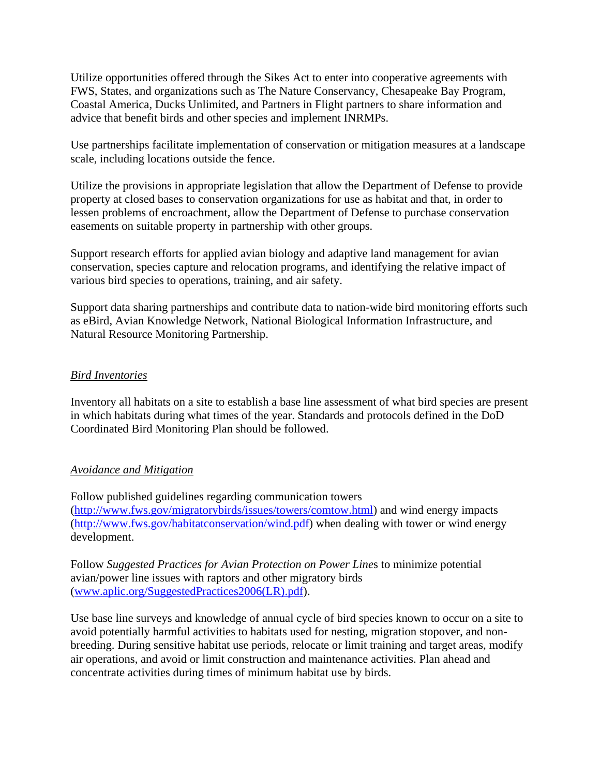Utilize opportunities offered through the Sikes Act to enter into cooperative agreements with FWS, States, and organizations such as The Nature Conservancy, Chesapeake Bay Program, Coastal America, Ducks Unlimited, and Partners in Flight partners to share information and advice that benefit birds and other species and implement INRMPs.

Use partnerships facilitate implementation of conservation or mitigation measures at a landscape scale, including locations outside the fence.

Utilize the provisions in appropriate legislation that allow the Department of Defense to provide property at closed bases to conservation organizations for use as habitat and that, in order to lessen problems of encroachment, allow the Department of Defense to purchase conservation easements on suitable property in partnership with other groups.

Support research efforts for applied avian biology and adaptive land management for avian conservation, species capture and relocation programs, and identifying the relative impact of various bird species to operations, training, and air safety.

Support data sharing partnerships and contribute data to nation-wide bird monitoring efforts such as eBird, Avian Knowledge Network, National Biological Information Infrastructure, and Natural Resource Monitoring Partnership.

#### *Bird Inventories*

Inventory all habitats on a site to establish a base line assessment of what bird species are present in which habitats during what times of the year. Standards and protocols defined in the DoD Coordinated Bird Monitoring Plan should be followed.

#### *Avoidance and Mitigation*

Follow published guidelines regarding communication towers (http://www.fws.gov/migratorybirds/issues/towers/comtow.html) and wind energy impacts (http://www.fws.gov/habitatconservation/wind.pdf) when dealing with tower or wind energy development.

Follow *Suggested Practices for Avian Protection on Power Line*s to minimize potential avian/power line issues with raptors and other migratory birds (www.aplic.org/SuggestedPractices2006(LR).pdf).

Use base line surveys and knowledge of annual cycle of bird species known to occur on a site to avoid potentially harmful activities to habitats used for nesting, migration stopover, and nonbreeding. During sensitive habitat use periods, relocate or limit training and target areas, modify air operations, and avoid or limit construction and maintenance activities. Plan ahead and concentrate activities during times of minimum habitat use by birds.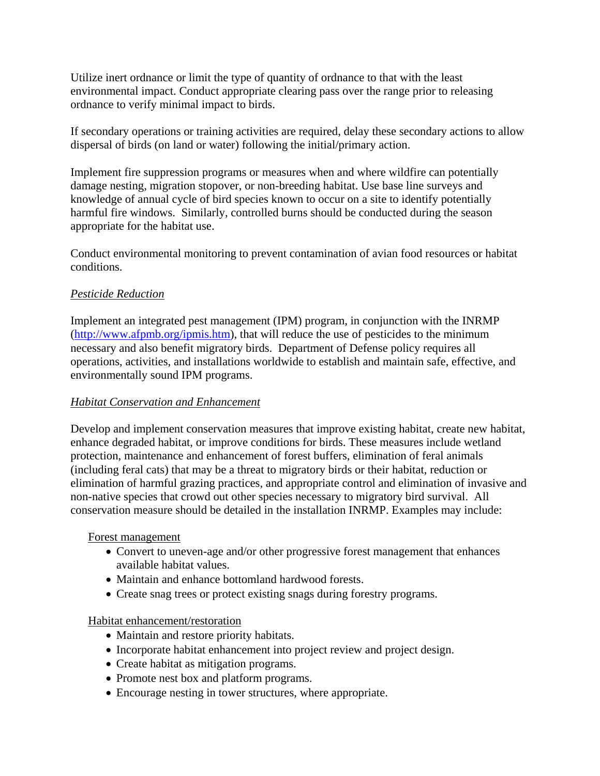Utilize inert ordnance or limit the type of quantity of ordnance to that with the least environmental impact. Conduct appropriate clearing pass over the range prior to releasing ordnance to verify minimal impact to birds.

If secondary operations or training activities are required, delay these secondary actions to allow dispersal of birds (on land or water) following the initial/primary action.

Implement fire suppression programs or measures when and where wildfire can potentially damage nesting, migration stopover, or non-breeding habitat. Use base line surveys and knowledge of annual cycle of bird species known to occur on a site to identify potentially harmful fire windows. Similarly, controlled burns should be conducted during the season appropriate for the habitat use.

Conduct environmental monitoring to prevent contamination of avian food resources or habitat conditions.

### *Pesticide Reduction*

Implement an integrated pest management (IPM) program, in conjunction with the INRMP (http://www.afpmb.org/ipmis.htm), that will reduce the use of pesticides to the minimum necessary and also benefit migratory birds. Department of Defense policy requires all operations, activities, and installations worldwide to establish and maintain safe, effective, and environmentally sound IPM programs.

### *Habitat Conservation and Enhancement*

Develop and implement conservation measures that improve existing habitat, create new habitat, enhance degraded habitat, or improve conditions for birds. These measures include wetland protection, maintenance and enhancement of forest buffers, elimination of feral animals (including feral cats) that may be a threat to migratory birds or their habitat, reduction or elimination of harmful grazing practices, and appropriate control and elimination of invasive and non-native species that crowd out other species necessary to migratory bird survival. All conservation measure should be detailed in the installation INRMP. Examples may include:

#### Forest management

- Convert to uneven-age and/or other progressive forest management that enhances available habitat values.
- Maintain and enhance bottomland hardwood forests.
- Create snag trees or protect existing snags during forestry programs.

### Habitat enhancement/restoration

- Maintain and restore priority habitats.
- Incorporate habitat enhancement into project review and project design.
- Create habitat as mitigation programs.
- Promote nest box and platform programs.
- Encourage nesting in tower structures, where appropriate.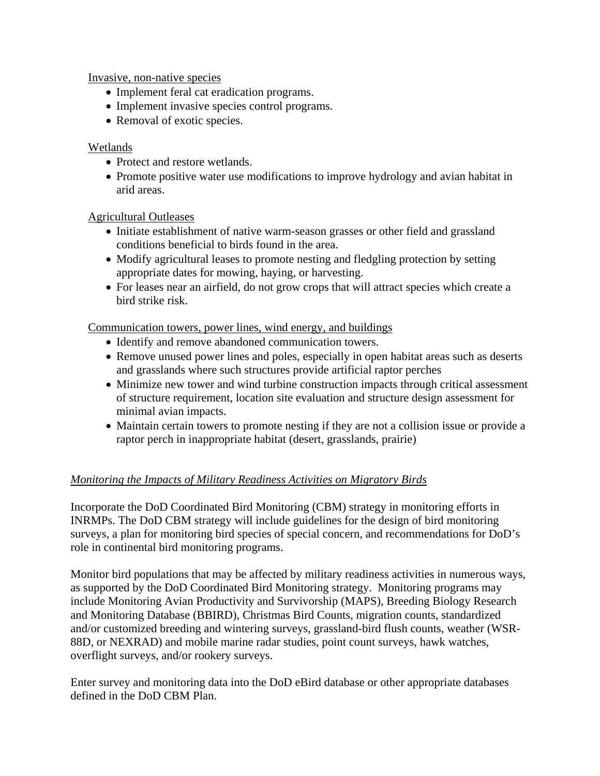Invasive, non-native species

- Implement feral cat eradication programs.
- Implement invasive species control programs.
- Removal of exotic species.

#### Wetlands

- Protect and restore wetlands.
- Promote positive water use modifications to improve hydrology and avian habitat in arid areas.

### Agricultural Outleases

- Initiate establishment of native warm-season grasses or other field and grassland conditions beneficial to birds found in the area.
- Modify agricultural leases to promote nesting and fledgling protection by setting appropriate dates for mowing, haying, or harvesting.
- For leases near an airfield, do not grow crops that will attract species which create a bird strike risk.

Communication towers, power lines, wind energy, and buildings

- Identify and remove abandoned communication towers.
- Remove unused power lines and poles, especially in open habitat areas such as deserts and grasslands where such structures provide artificial raptor perches
- Minimize new tower and wind turbine construction impacts through critical assessment of structure requirement, location site evaluation and structure design assessment for minimal avian impacts.
- Maintain certain towers to promote nesting if they are not a collision issue or provide a raptor perch in inappropriate habitat (desert, grasslands, prairie)

## *Monitoring the Impacts of Military Readiness Activities on Migratory Birds*

Incorporate the DoD Coordinated Bird Monitoring (CBM) strategy in monitoring efforts in INRMPs. The DoD CBM strategy will include guidelines for the design of bird monitoring surveys, a plan for monitoring bird species of special concern, and recommendations for DoD's role in continental bird monitoring programs.

Monitor bird populations that may be affected by military readiness activities in numerous ways, as supported by the DoD Coordinated Bird Monitoring strategy. Monitoring programs may include Monitoring Avian Productivity and Survivorship (MAPS), Breeding Biology Research and Monitoring Database (BBIRD), Christmas Bird Counts, migration counts, standardized and/or customized breeding and wintering surveys, grassland-bird flush counts, weather (WSR-88D, or NEXRAD) and mobile marine radar studies, point count surveys, hawk watches, overflight surveys, and/or rookery surveys.

Enter survey and monitoring data into the DoD eBird database or other appropriate databases defined in the DoD CBM Plan.